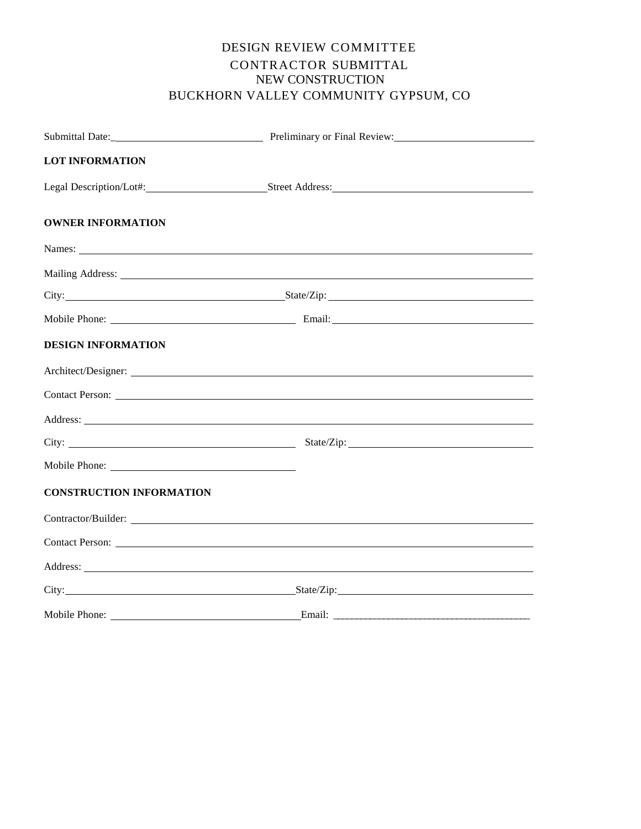# DESIGN REVIEW COMMITTEE CONTRACTOR SUBMITTAL NEW CONSTRUCTION BUCKHORN VALLEY COMMUNITY GYPSUM, CO

|                                 | Submittal Date: Preliminary or Final Review:                                                                                                                                                                                   |
|---------------------------------|--------------------------------------------------------------------------------------------------------------------------------------------------------------------------------------------------------------------------------|
| <b>LOT INFORMATION</b>          |                                                                                                                                                                                                                                |
|                                 |                                                                                                                                                                                                                                |
| <b>OWNER INFORMATION</b>        |                                                                                                                                                                                                                                |
|                                 |                                                                                                                                                                                                                                |
|                                 |                                                                                                                                                                                                                                |
|                                 | City: State/Zip: State/Zip:                                                                                                                                                                                                    |
|                                 |                                                                                                                                                                                                                                |
| <b>DESIGN INFORMATION</b>       |                                                                                                                                                                                                                                |
|                                 |                                                                                                                                                                                                                                |
|                                 |                                                                                                                                                                                                                                |
|                                 | Address: Note and the contract of the contract of the contract of the contract of the contract of the contract of the contract of the contract of the contract of the contract of the contract of the contract of the contract |
|                                 |                                                                                                                                                                                                                                |
|                                 |                                                                                                                                                                                                                                |
| <b>CONSTRUCTION INFORMATION</b> |                                                                                                                                                                                                                                |
|                                 |                                                                                                                                                                                                                                |
|                                 |                                                                                                                                                                                                                                |
|                                 | Address:                                                                                                                                                                                                                       |
|                                 |                                                                                                                                                                                                                                |
|                                 |                                                                                                                                                                                                                                |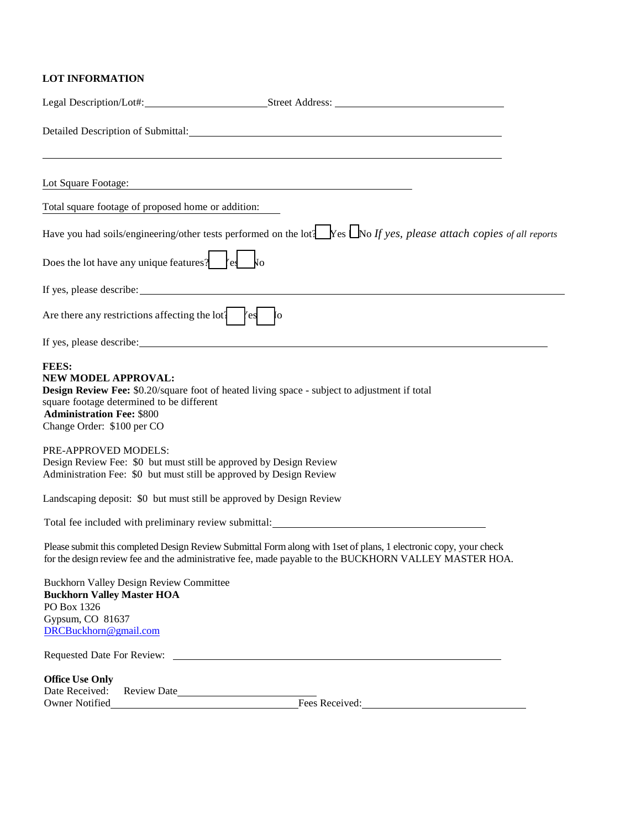# **LOT INFORMATION**

|                                                                                                                                                                                                                                                            | Detailed Description of Submittal: Manual According to the United States of Submittal:                                                                                                                                      |
|------------------------------------------------------------------------------------------------------------------------------------------------------------------------------------------------------------------------------------------------------------|-----------------------------------------------------------------------------------------------------------------------------------------------------------------------------------------------------------------------------|
| Lot Square Footage:                                                                                                                                                                                                                                        | <u> 1989 - Johann Barn, amerikansk politiker (d. 1989)</u>                                                                                                                                                                  |
| Total square footage of proposed home or addition:                                                                                                                                                                                                         |                                                                                                                                                                                                                             |
|                                                                                                                                                                                                                                                            | Have you had soils/engineering/other tests performed on the lot $\Box$ Yes $\Box$ No If yes, please attach copies of all reports                                                                                            |
| Does the lot have any unique features? $\left  \begin{array}{c} \end{array} \right $ $\left  \begin{array}{c} \end{array} \right $ $\left  \begin{array}{c} \end{array} \right $                                                                           |                                                                                                                                                                                                                             |
|                                                                                                                                                                                                                                                            |                                                                                                                                                                                                                             |
| Are there any restrictions affecting the lot $\left\{ \begin{array}{c} \infty \end{array} \right\}$                                                                                                                                                        | $\overline{I}$                                                                                                                                                                                                              |
|                                                                                                                                                                                                                                                            |                                                                                                                                                                                                                             |
| <b>FEES:</b><br>NEW MODEL APPROVAL:<br><b>Design Review Fee:</b> \$0.20/square foot of heated living space - subject to adjustment if total<br>square footage determined to be different<br><b>Administration Fee: \$800</b><br>Change Order: \$100 per CO |                                                                                                                                                                                                                             |
| PRE-APPROVED MODELS:<br>Design Review Fee: \$0 but must still be approved by Design Review<br>Administration Fee: \$0 but must still be approved by Design Review                                                                                          |                                                                                                                                                                                                                             |
| Landscaping deposit: \$0 but must still be approved by Design Review                                                                                                                                                                                       |                                                                                                                                                                                                                             |
|                                                                                                                                                                                                                                                            | Total fee included with preliminary review submittal:                                                                                                                                                                       |
|                                                                                                                                                                                                                                                            | Please submit this completed Design Review Submittal Form along with 1 set of plans, 1 electronic copy, your check<br>for the design review fee and the administrative fee, made payable to the BUCKHORN VALLEY MASTER HOA. |
| <b>Buckhorn Valley Design Review Committee</b><br><b>Buckhorn Valley Master HOA</b><br>PO Box 1326<br>Gypsum, CO 81637<br>DRCBuckhorn@gmail.com                                                                                                            |                                                                                                                                                                                                                             |
| Requested Date For Review:                                                                                                                                                                                                                                 | <u> 1989 - Johann Harry Harry Harry Harry Harry Harry Harry Harry Harry Harry Harry Harry Harry Harry Harry Harry</u>                                                                                                       |
| <b>Office Use Only</b><br>Date Received:<br>Review Date<br>Owner Notified                                                                                                                                                                                  | Fees Received:                                                                                                                                                                                                              |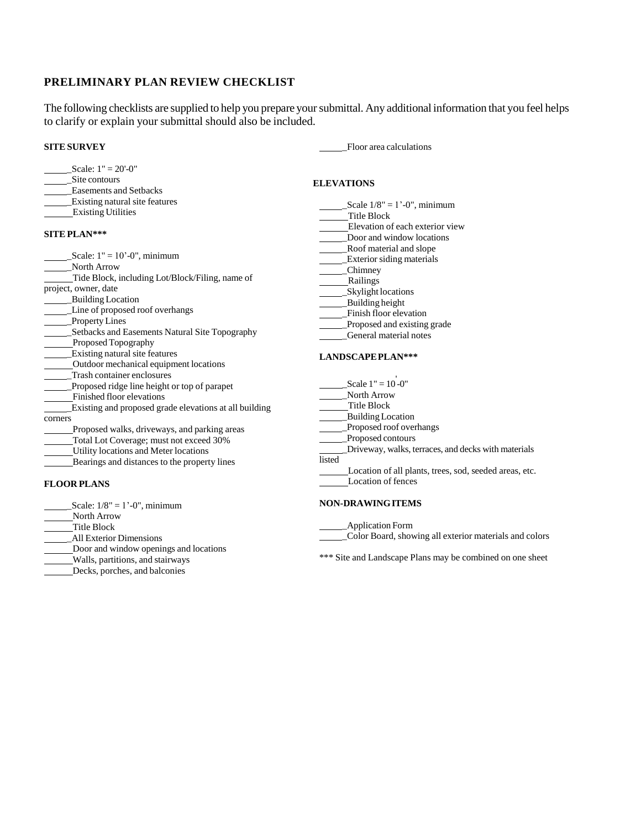# **PRELIMINARY PLAN REVIEW CHECKLIST**

The following checklists are supplied to help you prepare yoursubmittal. Any additional information that you feel helps to clarify or explain your submittal should also be included.

# **SITE SURVEY**

| Scale: $1" = 20' - 0"$ |  |
|------------------------|--|
| Site contours          |  |

- \_Easements and Setbacks
- \_Existing natural site features
- **Existing Utilities**

#### **SITE PLAN\*\*\***

| Scale: $1" = 10' - 0"$ , minimum                       |  |
|--------------------------------------------------------|--|
| <b>North Arrow</b>                                     |  |
| Tide Block, including Lot/Block/Filing, name of        |  |
| project, owner, date                                   |  |
| <b>Building Location</b>                               |  |
| Line of proposed roof overhangs                        |  |
| <b>Property Lines</b>                                  |  |
| Setbacks and Easements Natural Site Topography         |  |
| Proposed Topography                                    |  |
| Existing natural site features                         |  |
| Outdoor mechanical equipment locations                 |  |
| Trash container enclosures                             |  |
| Proposed ridge line height or top of parapet           |  |
| Finished floor elevations                              |  |
| Existing and proposed grade elevations at all building |  |
| corners                                                |  |
| Proposed walks, driveways, and parking areas           |  |
| Total Lot Coverage; must not exceed 30%                |  |
| Utility locations and Meter locations                  |  |
| Bearings and distances to the property lines           |  |
|                                                        |  |

# **FLOOR PLANS**

- Scale:  $1/8$ " =  $1'-0$ ", minimum
- North Arrow
- Title Block
- \_All Exterior Dimensions
- Door and window openings and locations
- Walls, partitions, and stairways
- Decks, porches, and balconies

\_Floor area calculations

#### **ELEVATIONS**

- Scale  $1/8$ " = 1'-0", minimum Title Block Elevation of each exterior view \_Door and window locations \_Roof material and slope **Exterior siding materials** \_Chimney Railings \_Skylight locations
- \_Building height
- \_Finish floor elevation
- \_Proposed and existing grade
- \_General material notes

#### **LANDSCAPEPLAN\*\*\***

 $\text{Scale 1} = 10^{\text{-}}0$ "

- \_North Arrow
- Title Block
- \_Building Location
- \_Proposed roof overhangs
- \_Proposed contours

\_Driveway, walks, terraces, and decks with materials listed

Location of all plants, trees, sod, seeded areas, etc. Location of fences

#### **NON-DRAWINGITEMS**

\_Application Form \_Color Board, showing all exterior materials and colors

\*\*\* Site and Landscape Plans may be combined on one sheet